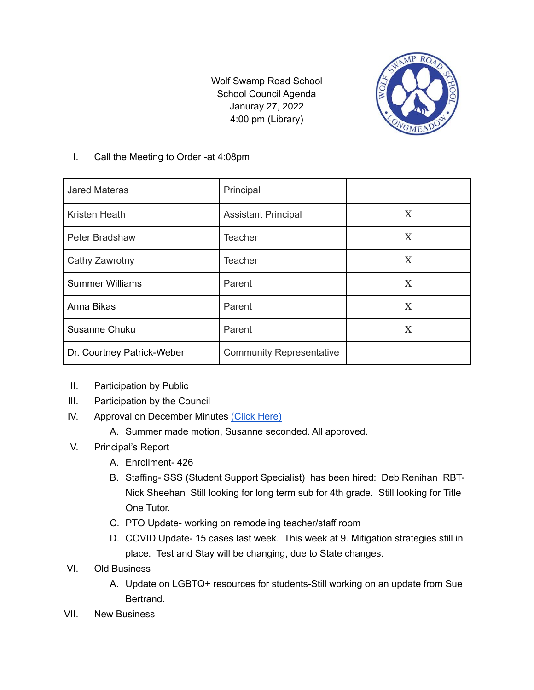Wolf Swamp Road School School Council Agenda Januray 27, 2022 4:00 pm (Library)



## I. Call the Meeting to Order -at 4:08pm

| <b>Jared Materas</b>       | Principal                       |   |
|----------------------------|---------------------------------|---|
| Kristen Heath              | <b>Assistant Principal</b>      | X |
| Peter Bradshaw             | <b>Teacher</b>                  | X |
| Cathy Zawrotny             | <b>Teacher</b>                  | X |
| <b>Summer Williams</b>     | Parent                          | X |
| Anna Bikas                 | Parent                          | X |
| Susanne Chuku              | Parent                          | X |
| Dr. Courtney Patrick-Weber | <b>Community Representative</b> |   |

- II. Participation by Public
- III. Participation by the Council
- IV. Approval on December Minutes [\(Click](https://docs.google.com/document/d/14QnWN98iFzkN7nCypfIhUmLGEsN6Ty3Hmx6XfLkK4Ng/edit?usp=sharing) Here)
	- A. Summer made motion, Susanne seconded. All approved.
- V. Principal's Report
	- A. Enrollment- 426
	- B. Staffing- SSS (Student Support Specialist) has been hired: Deb Renihan RBT-Nick Sheehan Still looking for long term sub for 4th grade. Still looking for Title One Tutor.
	- C. PTO Update- working on remodeling teacher/staff room
	- D. COVID Update- 15 cases last week. This week at 9. Mitigation strategies still in place. Test and Stay will be changing, due to State changes.
- VI. Old Business
	- A. Update on LGBTQ+ resources for students-Still working on an update from Sue Bertrand.
- VII. New Business